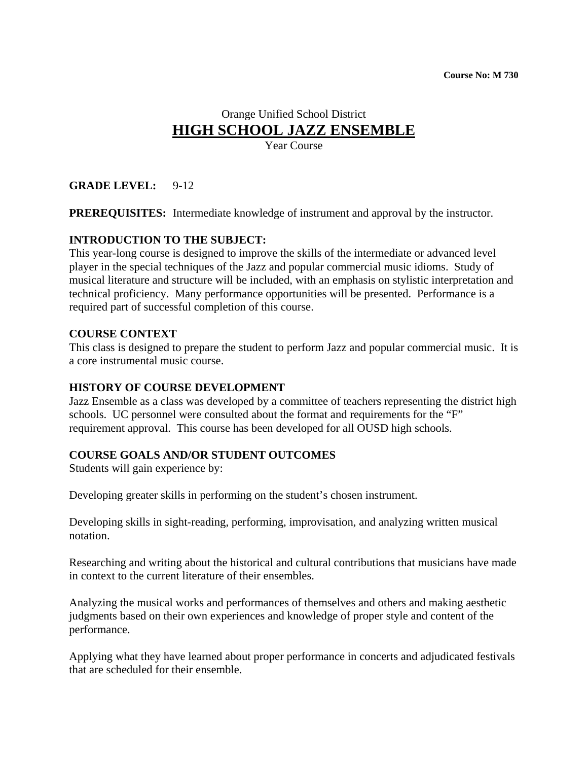# Orange Unified School District **HIGH SCHOOL JAZZ ENSEMBLE**

Year Course

# **GRADE LEVEL:** 9-12

**PREREQUISITES:** Intermediate knowledge of instrument and approval by the instructor.

### **INTRODUCTION TO THE SUBJECT:**

This year-long course is designed to improve the skills of the intermediate or advanced level player in the special techniques of the Jazz and popular commercial music idioms. Study of musical literature and structure will be included, with an emphasis on stylistic interpretation and technical proficiency. Many performance opportunities will be presented. Performance is a required part of successful completion of this course.

### **COURSE CONTEXT**

This class is designed to prepare the student to perform Jazz and popular commercial music. It is a core instrumental music course.

#### **HISTORY OF COURSE DEVELOPMENT**

Jazz Ensemble as a class was developed by a committee of teachers representing the district high schools. UC personnel were consulted about the format and requirements for the "F" requirement approval. This course has been developed for all OUSD high schools.

### **COURSE GOALS AND/OR STUDENT OUTCOMES**

Students will gain experience by:

Developing greater skills in performing on the student's chosen instrument.

Developing skills in sight-reading, performing, improvisation, and analyzing written musical notation.

Researching and writing about the historical and cultural contributions that musicians have made in context to the current literature of their ensembles.

Analyzing the musical works and performances of themselves and others and making aesthetic judgments based on their own experiences and knowledge of proper style and content of the performance.

Applying what they have learned about proper performance in concerts and adjudicated festivals that are scheduled for their ensemble.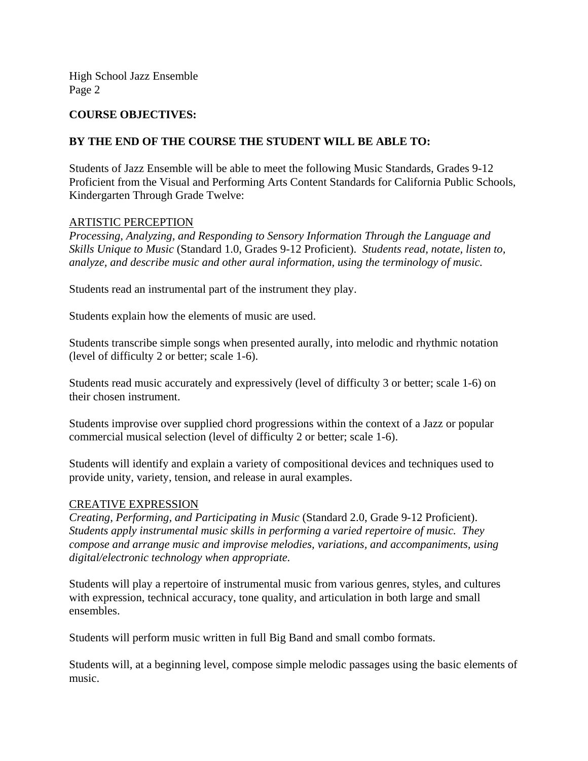#### **COURSE OBJECTIVES:**

#### **BY THE END OF THE COURSE THE STUDENT WILL BE ABLE TO:**

Students of Jazz Ensemble will be able to meet the following Music Standards, Grades 9-12 Proficient from the Visual and Performing Arts Content Standards for California Public Schools, Kindergarten Through Grade Twelve:

#### ARTISTIC PERCEPTION

*Processing, Analyzing, and Responding to Sensory Information Through the Language and Skills Unique to Music* (Standard 1.0, Grades 9-12 Proficient). *Students read, notate, listen to, analyze, and describe music and other aural information, using the terminology of music.* 

Students read an instrumental part of the instrument they play.

Students explain how the elements of music are used.

Students transcribe simple songs when presented aurally, into melodic and rhythmic notation (level of difficulty 2 or better; scale 1-6).

Students read music accurately and expressively (level of difficulty 3 or better; scale 1-6) on their chosen instrument.

Students improvise over supplied chord progressions within the context of a Jazz or popular commercial musical selection (level of difficulty 2 or better; scale 1-6).

Students will identify and explain a variety of compositional devices and techniques used to provide unity, variety, tension, and release in aural examples.

#### CREATIVE EXPRESSION

*Creating, Performing, and Participating in Music* (Standard 2.0, Grade 9-12 Proficient). *Students apply instrumental music skills in performing a varied repertoire of music. They compose and arrange music and improvise melodies, variations, and accompaniments, using digital/electronic technology when appropriate.* 

Students will play a repertoire of instrumental music from various genres, styles, and cultures with expression, technical accuracy, tone quality, and articulation in both large and small ensembles.

Students will perform music written in full Big Band and small combo formats.

Students will, at a beginning level, compose simple melodic passages using the basic elements of music.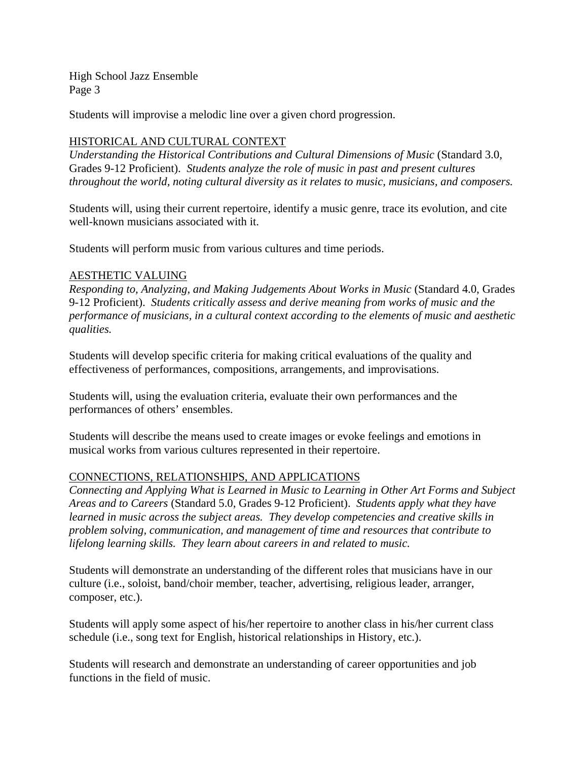Students will improvise a melodic line over a given chord progression.

### HISTORICAL AND CULTURAL CONTEXT

*Understanding the Historical Contributions and Cultural Dimensions of Music* (Standard 3.0, Grades 9-12 Proficient). *Students analyze the role of music in past and present cultures throughout the world, noting cultural diversity as it relates to music, musicians, and composers.* 

Students will, using their current repertoire, identify a music genre, trace its evolution, and cite well-known musicians associated with it.

Students will perform music from various cultures and time periods.

#### AESTHETIC VALUING

*Responding to, Analyzing, and Making Judgements About Works in Music* (Standard 4.0, Grades 9-12 Proficient). *Students critically assess and derive meaning from works of music and the performance of musicians, in a cultural context according to the elements of music and aesthetic qualities.* 

Students will develop specific criteria for making critical evaluations of the quality and effectiveness of performances, compositions, arrangements, and improvisations.

Students will, using the evaluation criteria, evaluate their own performances and the performances of others' ensembles.

Students will describe the means used to create images or evoke feelings and emotions in musical works from various cultures represented in their repertoire.

### CONNECTIONS, RELATIONSHIPS, AND APPLICATIONS

*Connecting and Applying What is Learned in Music to Learning in Other Art Forms and Subject Areas and to Careers* (Standard 5.0, Grades 9-12 Proficient). *Students apply what they have learned in music across the subject areas. They develop competencies and creative skills in problem solving, communication, and management of time and resources that contribute to lifelong learning skills. They learn about careers in and related to music.* 

Students will demonstrate an understanding of the different roles that musicians have in our culture (i.e., soloist, band/choir member, teacher, advertising, religious leader, arranger, composer, etc.).

Students will apply some aspect of his/her repertoire to another class in his/her current class schedule (i.e., song text for English, historical relationships in History, etc.).

Students will research and demonstrate an understanding of career opportunities and job functions in the field of music.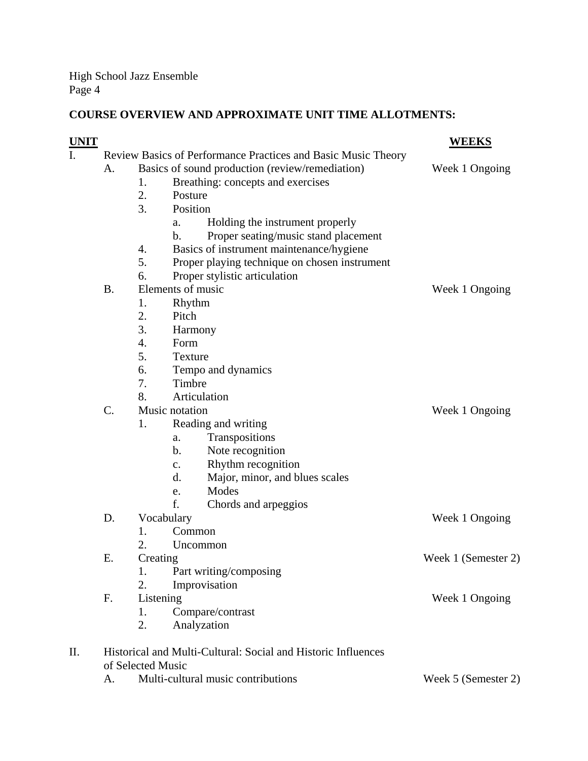# **COURSE OVERVIEW AND APPROXIMATE UNIT TIME ALLOTMENTS:**

| <u>UNIT</u> |                                                               |                   |                                                 | <b>WEEKS</b>        |
|-------------|---------------------------------------------------------------|-------------------|-------------------------------------------------|---------------------|
| I.          | Review Basics of Performance Practices and Basic Music Theory |                   |                                                 |                     |
|             | А.                                                            |                   | Basics of sound production (review/remediation) | Week 1 Ongoing      |
|             |                                                               | 1.                | Breathing: concepts and exercises               |                     |
|             |                                                               | 2.                | Posture                                         |                     |
|             |                                                               | 3.                | Position                                        |                     |
|             |                                                               |                   | Holding the instrument properly<br>a.           |                     |
|             |                                                               |                   | Proper seating/music stand placement<br>b.      |                     |
|             |                                                               | 4.                | Basics of instrument maintenance/hygiene        |                     |
|             |                                                               | 5.                | Proper playing technique on chosen instrument   |                     |
|             |                                                               | 6.                | Proper stylistic articulation                   |                     |
|             | <b>B.</b>                                                     |                   | Elements of music                               | Week 1 Ongoing      |
|             |                                                               | 1.                | Rhythm                                          |                     |
|             |                                                               | 2.                | Pitch                                           |                     |
|             |                                                               | 3.                | Harmony                                         |                     |
|             |                                                               | 4.                | Form                                            |                     |
|             |                                                               | 5.                | <b>Texture</b>                                  |                     |
|             |                                                               | 6.                | Tempo and dynamics                              |                     |
|             |                                                               | 7.                | Timbre                                          |                     |
|             |                                                               | 8.                | Articulation                                    |                     |
|             | $\mathcal{C}$ .                                               |                   | Music notation                                  | Week 1 Ongoing      |
|             |                                                               | 1.                | Reading and writing                             |                     |
|             |                                                               |                   | Transpositions<br>a.                            |                     |
|             |                                                               |                   | Note recognition<br>b.                          |                     |
|             |                                                               |                   | Rhythm recognition<br>c.                        |                     |
|             |                                                               |                   | Major, minor, and blues scales<br>d.            |                     |
|             |                                                               |                   | Modes<br>e.                                     |                     |
|             |                                                               |                   | f.<br>Chords and arpeggios                      |                     |
|             | D.                                                            | Vocabulary        |                                                 | Week 1 Ongoing      |
|             |                                                               | 1.                | Common                                          |                     |
|             |                                                               | 2.                | Uncommon                                        |                     |
|             | Ε.                                                            | Creating          |                                                 | Week 1 (Semester 2) |
|             |                                                               | 1.                | Part writing/composing                          |                     |
|             |                                                               | 2.                | Improvisation                                   |                     |
|             | F.                                                            | Listening         |                                                 | Week 1 Ongoing      |
|             |                                                               | 1.                | Compare/contrast                                |                     |
|             |                                                               | 2.                | Analyzation                                     |                     |
| II.         | Historical and Multi-Cultural: Social and Historic Influences |                   |                                                 |                     |
|             |                                                               | of Selected Music |                                                 |                     |
|             | A.                                                            |                   | Multi-cultural music contributions              | Week 5 (Semester 2) |